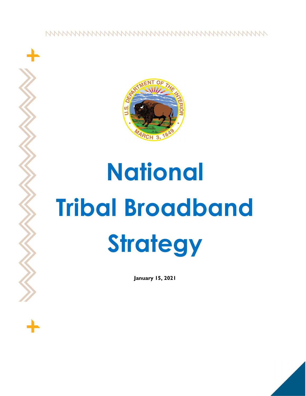

# National Tribal Broadband **Strategy**

January 15, 2021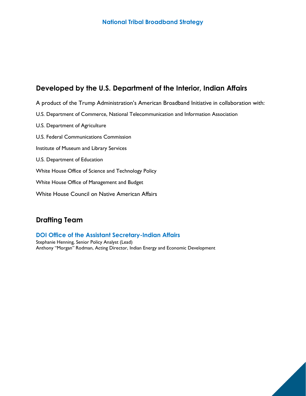# Developed by the U.S. Department of the Interior, Indian Affairs

- A product of the Trump Administration's American Broadband Initiative in collaboration with:
- U.S. Department of Commerce, National Telecommunication and Information Association
- U.S. Department of Agriculture
- U.S. Federal Communications Commission
- Institute of Museum and Library Services
- U.S. Department of Education
- White House Office of Science and Technology Policy
- White House Office of Management and Budget
- White House Council on Native American Affairs

# Drafting Team

# DOI Office of the Assistant Secretary-Indian Affairs

Stephanie Henning, Senior Policy Analyst (Lead) Anthony "Morgan" Rodman, Acting Director, Indian Energy and Economic Development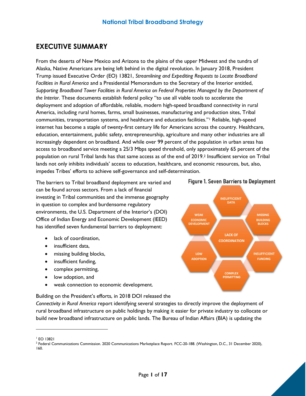# EXECUTIVE SUMMARY

From the deserts of New Mexico and Arizona to the plains of the upper Midwest and the tundra of Alaska, Native Americans are being left behind in the digital revolution. In January 2018, President Trump issued Executive Order (EO) 13821, Streamlining and Expediting Requests to Locate Broadband Facilities in Rural America and a Presidential Memorandum to the Secretary of the Interior entitled, Supporting Broadband Tower Facilities in Rural America on Federal Properties Managed by the Department of the Interior. These documents establish federal policy "to use all viable tools to accelerate the deployment and adoption of affordable, reliable, modern high-speed broadband connectivity in rural America, including rural homes, farms, small businesses, manufacturing and production sites, Tribal communities, transportation systems, and healthcare and education facilities."1 Reliable, high-speed internet has become a staple of twenty-first century life for Americans across the country. Healthcare, education, entertainment, public safety, entrepreneurship, agriculture and many other industries are all increasingly dependent on broadband. And while over 99 percent of the population in urban areas has access to broadband service meeting a 25/3 Mbps speed threshold, only approximately 65 percent of the population on rural Tribal lands has that same access as of the end of 2019.2 Insufficient service on Tribal lands not only inhibits individuals' access to education, healthcare, and economic resources, but, also, impedes Tribes' efforts to achieve self-governance and self-determination.

The barriers to Tribal broadband deployment are varied and can be found across sectors. From a lack of financial investing in Tribal communities and the immense geography in question to complex and burdensome regulatory environments, the U.S. Department of the Interior's (DOI) Office of Indian Energy and Economic Development (IEED) has identified seven fundamental barriers to deployment:

- lack of coordination.
- insufficient data.
- missing building blocks,
- insufficient funding,
- complex permitting,
- low adoption, and
- weak connection to economic development.



Connectivity in Rural America report identifying several strategies to directly improve the deployment of rural broadband infrastructure on public holdings by making it easier for private industry to collocate or build new broadband infrastructure on public lands. The Bureau of Indian Affairs (BIA) is updating the







<sup>1</sup> EO 13821

<sup>&</sup>lt;sup>2</sup> Federal Communications Commission. 2020 Communications Marketplace Report. FCC-20-188. (Washington, D.C., 31 December 2020), 160.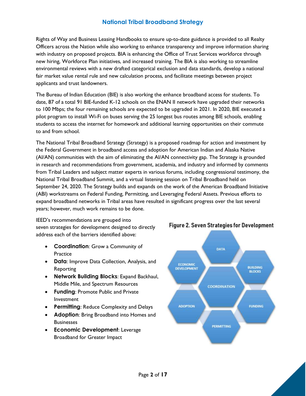Rights of Way and Business Leasing Handbooks to ensure up-to-date guidance is provided to all Realty Officers across the Nation while also working to enhance transparency and improve information sharing with industry on proposed projects. BIA is enhancing the Office of Trust Services workforce through new hiring, Workforce Plan initiatives, and increased training. The BIA is also working to streamline environmental reviews with a new drafted categorical exclusion and data standards, develop a national fair market value rental rule and new calculation process, and facilitate meetings between project applicants and trust landowners.

The Bureau of Indian Education (BIE) is also working the enhance broadband access for students. To date, 87 of a total 91 BIE-funded K-12 schools on the ENAN II network have upgraded their networks to 100 Mbps; the four remaining schools are expected to be upgraded in 2021. In 2020, BIE executed a pilot program to install Wi-Fi on buses serving the 25 longest bus routes among BIE schools, enabling students to access the internet for homework and additional learning opportunities on their commute to and from school.

The National Tribal Broadband Strategy (Strategy) is a proposed roadmap for action and investment by the Federal Government in broadband access and adoption for American Indian and Alaska Native (AI/AN) communities with the aim of eliminating the AI/AN connectivity gap. The Strategy is grounded in research and recommendations from government, academia, and industry and informed by comments from Tribal Leaders and subject matter experts in various forums, including congressional testimony, the National Tribal Broadband Summit, and a virtual listening session on Tribal Broadband held on September 24, 2020. The Strategy builds and expands on the work of the American Broadband Initiative (ABI) workstreams on Federal Funding, Permitting, and Leveraging Federal Assets. Previous efforts to expand broadband networks in Tribal areas have resulted in significant progress over the last several years; however, much work remains to be done.

IEED's recommendations are grouped into seven strategies for development designed to directly address each of the barriers identified above:

- Coordination: Grow a Community of **Practice**
- Data: Improve Data Collection, Analysis, and Reporting
- Network Building Blocks: Expand Backhaul, Middle Mile, and Spectrum Resources
- **Funding: Promote Public and Private** Investment
- Permitting: Reduce Complexity and Delays
- Adoption: Bring Broadband into Homes and **Businesses**
- Economic Development: Leverage Broadband for Greater Impact



**Figure 2. Seven Strategies for Development**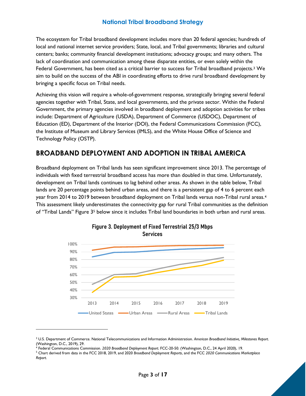The ecosystem for Tribal broadband development includes more than 20 federal agencies; hundreds of local and national internet service providers; State, local, and Tribal governments; libraries and cultural centers; banks; community financial development institutions; advocacy groups; and many others. The lack of coordination and communication among these disparate entities, or even solely within the Federal Government, has been cited as a critical barrier to success for Tribal broadband projects.<sup>3</sup> We aim to build on the success of the ABI in coordinating efforts to drive rural broadband development by bringing a specific focus on Tribal needs.

Achieving this vision will require a whole-of-government response, strategically bringing several federal agencies together with Tribal, State, and local governments, and the private sector. Within the Federal Government, the primary agencies involved in broadband deployment and adoption activities for tribes include: Department of Agriculture (USDA), Department of Commerce (USDOC), Department of Education (ED), Department of the Interior (DOI), the Federal Communications Commission (FCC), the Institute of Museum and Library Services (IMLS), and the White House Office of Science and Technology Policy (OSTP).

# BROADBAND DEPLOYMENT AND ADOPTION IN TRIBAL AMERICA

Broadband deployment on Tribal lands has seen significant improvement since 2013. The percentage of individuals with fixed terrestrial broadband access has more than doubled in that time. Unfortunately, development on Tribal lands continues to lag behind other areas. As shown in the table below, Tribal lands are 20 percentage points behind urban areas, and there is a persistent gap of 4 to 6 percent each year from 2014 to 2019 between broadband deployment on Tribal lands versus non-Tribal rural areas.<sup>4</sup> This assessment likely underestimates the connectivity gap for rural Tribal communities as the definition of "Tribal Lands" Figure 3<sup>5</sup> below since it includes Tribal land boundaries in both urban and rural areas.





<sup>&</sup>lt;sup>3</sup> U.S. Department of Commerce. National Telecommunications and Information Administration. American Broadband Initiative, Milestones Report. (Washington, D.C., 2019), 29.

<sup>4</sup> Federal Communications Commission. 2020 Broadband Deployment Report. FCC-20-50. (Washington, D.C., 24 April 2020), 19.

<sup>&</sup>lt;sup>5</sup> Chart derived from data in the FCC 2018, 2019, and 2020 Broadband Deployment Reports, and the FCC 2020 Communications Marketplace Report.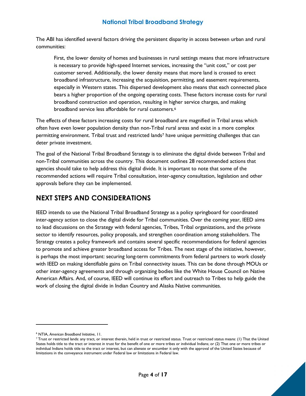The ABI has identified several factors driving the persistent disparity in access between urban and rural communities:

First, the lower density of homes and businesses in rural settings means that more infrastructure is necessary to provide high-speed Internet services, increasing the "unit cost," or cost per customer served. Additionally, the lower density means that more land is crossed to erect broadband infrastructure, increasing the acquisition, permitting, and easement requirements, especially in Western states. This dispersed development also means that each connected place bears a higher proportion of the ongoing operating costs. These factors increase costs for rural broadband construction and operation, resulting in higher service charges, and making broadband service less affordable for rural customers.<sup>6</sup>

The effects of these factors increasing costs for rural broadband are magnified in Tribal areas which often have even lower population density than non-Tribal rural areas and exist in a more complex permitting environment. Tribal trust and restricted lands7 have unique permitting challenges that can deter private investment.

The goal of the National Tribal Broadband Strategy is to eliminate the digital divide between Tribal and non-Tribal communities across the country. This document outlines 28 recommended actions that agencies should take to help address this digital divide. It is important to note that some of the recommended actions will require Tribal consultation, inter-agency consultation, legislation and other approvals before they can be implemented.

# NEXT STEPS AND CONSIDERATIONS

IEED intends to use the National Tribal Broadband Strategy as a policy springboard for coordinated inter-agency action to close the digital divide for Tribal communities. Over the coming year, IEED aims to lead discussions on the Strategy with federal agencies, Tribes, Tribal organizations, and the private sector to identify resources, policy proposals, and strengthen coordination among stakeholders. The Strategy creates a policy framework and contains several specific recommendations for federal agencies to promote and achieve greater broadband access for Tribes. The next stage of the initiative, however, is perhaps the most important: securing long-term commitments from federal partners to work closely with IEED on making identifiable gains on Tribal connectivity issues. This can be done through MOUs or other inter-agency agreements and through organizing bodies like the White House Council on Native American Affairs. And, of course, IEED will continue its effort and outreach to Tribes to help guide the work of closing the digital divide in Indian Country and Alaska Native communities.

<sup>&</sup>lt;sup>7</sup> Trust or restricted lands: any tract, or interest therein, held in trust or restricted status. Trust or restricted status means: (1) That the United States holds title to the tract or interest in trust for the benefit of one or more tribes or individual Indians; or (2) That one or more tribes or individual Indians holds title to the tract or interest, but can alienate or encumber it only with the approval of the United States because of limitations in the conveyance instrument under Federal law or limitations in Federal law.



<sup>6</sup> NTIA, American Broadband Initiative, 11.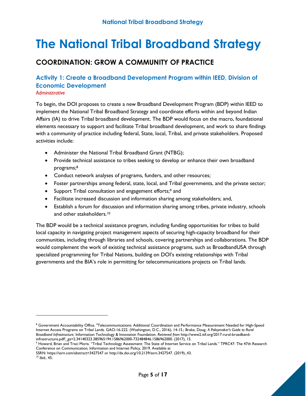# COORDINATION: GROW A COMMUNITY OF PRACTICE

# Activity 1: Create a Broadband Development Program within IEED, Division of Economic Development

### **Administrative**

To begin, the DOI proposes to create a new Broadband Development Program (BDP) within IEED to implement the National Tribal Broadband Strategy and coordinate efforts within and beyond Indian Affairs (IA) to drive Tribal broadband development. The BDP would focus on the macro, foundational elements necessary to support and facilitate Tribal broadband development, and work to share findings with a community of practice including federal, State, local, Tribal, and private stakeholders. Proposed activities include:

- Administer the National Tribal Broadband Grant (NTBG);
- Provide technical assistance to tribes seeking to develop or enhance their own broadband programs;<sup>8</sup>
- Conduct network analyses of programs, funders, and other resources;
- Foster partnerships among federal, state, local, and Tribal governments, and the private sector;
- Support Tribal consultation and engagement efforts;<sup>9</sup> and
- Facilitate increased discussion and information sharing among stakeholders; and,
- Establish a forum for discussion and information sharing among tribes, private industry, schools and other stakeholders.<sup>10</sup>

The BDP would be a technical assistance program, including funding opportunities for tribes to build local capacity in navigating project management aspects of securing high-capacity broadband for their communities, including through libraries and schools, covering partnerships and collaborations. The BDP would complement the work of existing technical assistance programs, such as BroadbandUSA through specialized programming for Tribal Nations, building on DOI's existing relationships with Tribal governments and the BIA's role in permitting for telecommunications projects on Tribal lands.

 $^8$  Government Accountability Office. "Telecommunications: Additional Coordination and Performance Measurement Needed for High-Speed Internet Access Programs on Tribal Lands. GAO-16-222. (Washington, D.C., 2016), 14-15.; Brake, Doug. A Policymaker's Guide to Rural Broadband Infrastructure. Information Technology & Innovation Foundation. Retrieved from http://www2.itif.org/2017-rural-broadbandinfrastructure.pdf?\_ga=2.34140323.385965194.1586962000-732484846.1586962000. (2017), 15.

<sup>9</sup> Howard, Brian and Traci Moris. "Tribal Technology Assessment: The State of Internet Service on Tribal Lands." TPRC47: The 47th Research Conference on Communication, Information and Internet Policy, 2019. Available at

SSRN: https://ssrn.com/abstract=3427547 or http://dx.doi.org/10.2139/ssrn.3427547. (2019), 43.

<sup>10</sup> Ibid., 45.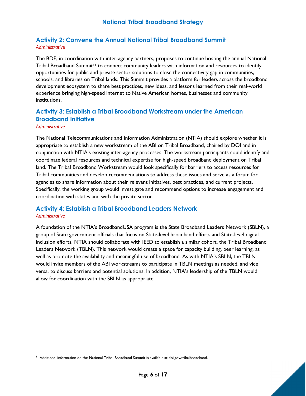# Activity 2: Convene the Annual National Tribal Broadband Summit Administrative

The BDP, in coordination with inter-agency partners, proposes to continue hosting the annual National Tribal Broadband Summit<sup>11</sup> to connect community leaders with information and resources to identify opportunities for public and private sector solutions to close the connectivity gap in communities, schools, and libraries on Tribal lands. This Summit provides a platform for leaders across the broadband development ecosystem to share best practices, new ideas, and lessons learned from their real-world experience bringing high-speed internet to Native American homes, businesses and community institutions.

# Activity 3: Establish a Tribal Broadband Workstream under the American Broadband Initiative

### **Administrative**

The National Telecommunications and Information Administration (NTIA) should explore whether it is appropriate to establish a new workstream of the ABI on Tribal Broadband, chaired by DOI and in conjunction with NTIA's existing inter-agency processes. The workstream participants could identify and coordinate federal resources and technical expertise for high-speed broadband deployment on Tribal land. The Tribal Broadband Workstream would look specifically for barriers to access resources for Tribal communities and develop recommendations to address these issues and serve as a forum for agencies to share information about their relevant initiatives, best practices, and current projects. Specifically, the working group would investigate and recommend options to increase engagement and coordination with states and with the private sector.

### Activity 4: Establish a Tribal Broadband Leaders Network **Administrative**

A foundation of the NTIA's BroadbandUSA program is the State Broadband Leaders Network (SBLN), a group of State government officials that focus on State-level broadband efforts and State-level digital inclusion efforts. NTIA should collaborate with IEED to establish a similar cohort, the Tribal Broadband Leaders Network (TBLN). This network would create a space for capacity building, peer learning, as well as promote the availability and meaningful use of broadband. As with NTIA's SBLN, the TBLN would invite members of the ABI workstreams to participate in TBLN meetings as needed, and vice versa, to discuss barriers and potential solutions. In addition, NTIA's leadership of the TBLN would allow for coordination with the SBLN as appropriate.



<sup>&</sup>lt;sup>11</sup> Additional information on the National Tribal Broadband Summit is available at doi.gov/tribalbroadband.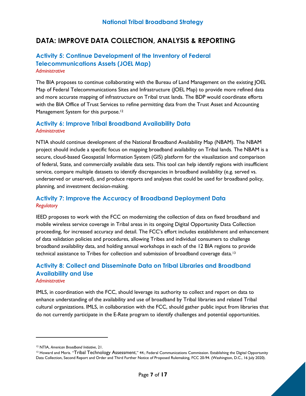# DATA: IMPROVE DATA COLLECTION, ANALYSIS & REPORTING

### Activity 5: Continue Development of the Inventory of Federal Telecommunications Assets (JOEL Map) **Administrative**

The BIA proposes to continue collaborating with the Bureau of Land Management on the existing JOEL Map of Federal Telecommunications Sites and Infrastructure (JOEL Map) to provide more refined data and more accurate mapping of infrastructure on Tribal trust lands. The BDP would coordinate efforts with the BIA Office of Trust Services to refine permitting data from the Trust Asset and Accounting Management System for this purpose.<sup>12</sup>

### Activity 6: Improve Tribal Broadband Availability Data **Administrative**

NTIA should continue development of the National Broadband Availability Map (NBAM). The NBAM project should include a specific focus on mapping broadband availability on Tribal lands. The NBAM is a secure, cloud-based Geospatial Information System (GIS) platform for the visualization and comparison of federal, State, and commercially available data sets. This tool can help identify regions with insufficient service, compare multiple datasets to identify discrepancies in broadband availability (e.g. served vs. underserved or unserved), and produce reports and analyses that could be used for broadband policy, planning, and investment decision-making.

### Activity 7: Improve the Accuracy of Broadband Deployment Data **Regulatory**

IEED proposes to work with the FCC on modernizing the collection of data on fixed broadband and mobile wireless service coverage in Tribal areas in its ongoing Digital Opportunity Data Collection proceeding, for increased accuracy and detail. The FCC's effort includes establishment and enhancement of data validation policies and procedures, allowing Tribes and individual consumers to challenge broadband availability data, and holding annual workshops in each of the 12 BIA regions to provide technical assistance to Tribes for collection and submission of broadband coverage data.<sup>13</sup>

### Activity 8: Collect and Disseminate Data on Tribal Libraries and Broadband Availability and Use **Administrative**

IMLS, in coordination with the FCC, should leverage its authority to collect and report on data to enhance understanding of the availability and use of broadband by Tribal libraries and related Tribal cultural organizations. IMLS, in collaboration with the FCC, should gather public input from libraries that do not currently participate in the E-Rate program to identify challenges and potential opportunities.

<sup>&</sup>lt;sup>12</sup> NTIA, American Broadband Initiative, 21.

<sup>&</sup>lt;sup>13</sup> Howard and Moris. "Tribal Technology Assessment," 44.; Federal Communications Commission. Establishing the Digital Opportunity Data Collection, Second Report and Order and Third Further Notice of Proposed Rulemaking, FCC 20-94. (Washington, D.C., 16 July 2020).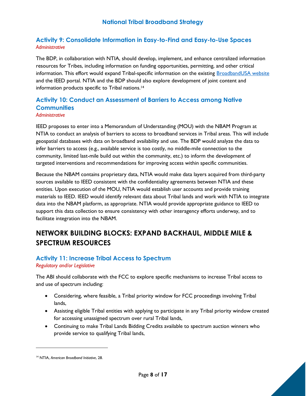# Activity 9: Consolidate Information in Easy-to-Find and Easy-to-Use Spaces Administrative

The BDP, in collaboration with NTIA, should develop, implement, and enhance centralized information resources for Tribes, including information on funding opportunities, permitting, and other critical information. This effort would expand Tribal-specific information on the existing BroadbandUSA website and the IEED portal. NTIA and the BDP should also explore development of joint content and information products specific to Tribal nations.<sup>14</sup>

# Activity 10: Conduct an Assessment of Barriers to Access among Native **Communities**

### **Administrative**

IEED proposes to enter into a Memorandum of Understanding (MOU) with the NBAM Program at NTIA to conduct an analysis of barriers to access to broadband services in Tribal areas. This will include geospatial databases with data on broadband availability and use. The BDP would analyze the data to infer barriers to access (e.g., available service is too costly, no middle-mile connection to the community, limited last-mile build out within the community, etc.) to inform the development of targeted interventions and recommendations for improving access within specific communities.

Because the NBAM contains proprietary data, NTIA would make data layers acquired from third-party sources available to IEED consistent with the confidentiality agreements between NTIA and these entities. Upon execution of the MOU, NTIA would establish user accounts and provide training materials to IEED. IEED would identify relevant data about Tribal lands and work with NTIA to integrate data into the NBAM platform, as appropriate. NTIA would provide appropriate guidance to IEED to support this data collection to ensure consistency with other interagency efforts underway, and to facilitate integration into the NBAM.

# NETWORK BUILDING BLOCKS: EXPAND BACKHAUL, MIDDLE MILE & SPECTRUM RESOURCES

# Activity 11: Increase Tribal Access to Spectrum

Regulatory and/or Legislative

The ABI should collaborate with the FCC to explore specific mechanisms to increase Tribal access to and use of spectrum including:

- Considering, where feasible, a Tribal priority window for FCC proceedings involving Tribal lands,
- Assisting eligible Tribal entities with applying to participate in any Tribal priority window created for accessing unassigned spectrum over rural Tribal lands,
- Continuing to make Tribal Lands Bidding Credits available to spectrum auction winners who provide service to qualifying Tribal lands,

<sup>&</sup>lt;sup>14</sup> NTIA, American Broadband Initiative, 28.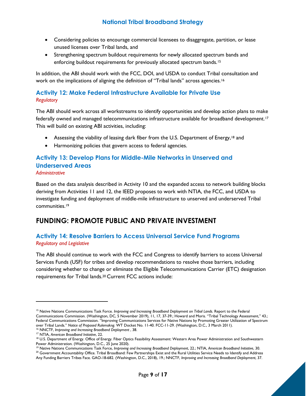- Considering policies to encourage commercial licensees to disaggregate, partition, or lease unused licenses over Tribal lands, and
- Strengthening spectrum buildout requirements for newly allocated spectrum bands and enforcing buildout requirements for previously allocated spectrum bands.<sup>15</sup>

In addition, the ABI should work with the FCC, DOI, and USDA to conduct Tribal consultation and work on the implications of aligning the definition of "Tribal lands" across agencies.<sup>16</sup>

# Activity 12: Make Federal Infrastructure Available for Private Use **Regulatory**

The ABI should work across all workstreams to identify opportunities and develop action plans to make federally owned and managed telecommunications infrastructure available for broadband development.<sup>17</sup> This will build on existing ABI activities, including:

- Assessing the viability of leasing dark fiber from the U.S. Department of Energy,<sup>18</sup> and
- Harmonizing policies that govern access to federal agencies.

# Activity 13: Develop Plans for Middle-Mile Networks in Unserved and Underserved Areas

Administrative

Based on the data analysis described in Activity 10 and the expanded access to network building blocks deriving from Activities 11 and 12, the IEED proposes to work with NTIA, the FCC, and USDA to investigate funding and deployment of middle-mile infrastructure to unserved and underserved Tribal communities.<sup>19</sup>

# FUNDING: PROMOTE PUBLIC AND PRIVATE INVESTMENT

# Activity 14: Resolve Barriers to Access Universal Service Fund Programs Regulatory and Legislative

The ABI should continue to work with the FCC and Congress to identify barriers to access Universal Services Funds (USF) for tribes and develop recommendations to resolve those barriers, including considering whether to change or eliminate the Eligible Telecommunications Carrier (ETC) designation requirements for Tribal lands.20 Current FCC actions include:

<sup>&</sup>lt;sup>15</sup> Native Nations Communications Task Force. Improving and Increasing Broadband Deployment on Tribal Lands. Report to the Federal Communications Commission. (Washington, DC, 5 November 2019), 11, 17, 37-39.; Howard and Moris. "Tribal Technology Assessment," 43.; Federal Communications Commission. "Improving Communications Services for Native Nations by Promoting Greater Utilization of Spectrum over Tribal Lands." Notice of Proposed Rulemakng. WT Docket No. 11-40. FCC-11-29. (Washington, D.C., 3 March 2011). <sup>16</sup> NNCTF, Improving and Increasing Broadband Deployment, 38.

<sup>&</sup>lt;sup>17</sup> NTIA, American Broadband Initiative, 22.

<sup>&</sup>lt;sup>18</sup> U.S. Department of Energy. Office of Energy. Fiber Optics Feasibility Assessment: Western Area Power Administration and Southwestern Power Administration. (Washington, D.C., 25 June 2020).

<sup>&</sup>lt;sup>19</sup> Native Nations Communications Task Force, Improving and Increasing Broadband Deployment, 22.; NTIA, American Broadband Initiative, 30.

<sup>&</sup>lt;sup>20</sup> Government Accountablity Office. Tribal Broadband: Few Partnerships Exist and the Rural Utilities Service Needs to Identify and Address Any Funding Barriers Tribes Face. GAO-18-682. (Washington, D.C., 2018), 19.; NNCTF, Improving and Increasing Broadband Deployment, 37.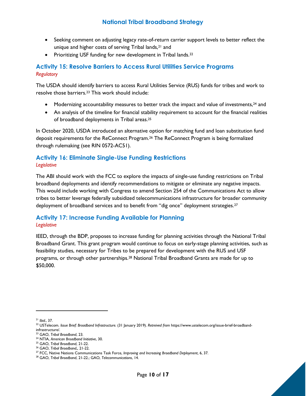- Seeking comment on adjusting legacy rate-of-return carrier support levels to better reflect the unique and higher costs of serving Tribal lands,<sup>21</sup> and
- Prioritizing USF funding for new development in Tribal lands.<sup>22</sup>

### Activity 15: Resolve Barriers to Access Rural Utilities Service Programs **Regulatory**

The USDA should identify barriers to access Rural Utilities Service (RUS) funds for tribes and work to resolve those barriers.23 This work should include:

- $\bullet$  Modernizing accountability measures to better track the impact and value of investments,  $^{24}$  and
- An analysis of the timeline for financial stability requirement to account for the financial realities of broadband deployments in Tribal areas.<sup>25</sup>

In October 2020, USDA introduced an alternative option for matching fund and loan substitution fund deposit requirements for the ReConnect Program.26 The ReConnect Program is being formalized through rulemaking (see RIN 0572-AC51).

# Activity 16: Eliminate Single-Use Funding Restrictions **Legislative**

The ABI should work with the FCC to explore the impacts of single-use funding restrictions on Tribal broadband deployments and identify recommendations to mitigate or eliminate any negative impacts. This would include working with Congress to amend Section 254 of the Communications Act to allow tribes to better leverage federally subsidized telecommunications infrastructure for broader community deployment of broadband services and to benefit from "dig once" deployment strategies.<sup>27</sup>

# Activity 17: Increase Funding Available for Planning **Legislative**

IEED, through the BDP, proposes to increase funding for planning activities through the National Tribal Broadband Grant. This grant program would continue to focus on early-stage planning activities, such as feasibility studies, necessary for Tribes to be prepared for development with the RUS and USF programs, or through other partnerships.28 National Tribal Broadband Grants are made for up to \$50,000.

 $21$  Ibid., 37.

<sup>24</sup> NTIA, American Broadband Initiative, 30.

<sup>&</sup>lt;sup>22</sup> USTelecom. Issue Brief: Broadband Infrastructure. (31 January 2019). Retreived from https://www.ustelecom.org/issue-brief-broadbandinfrastructure/.

<sup>23</sup> GAO, Tribal Broadband, 23.

<sup>25</sup> GAO, Tribal Broadband, 21-22.

<sup>26</sup> GAO, Tribal Broadband,, 21-22.

<sup>&</sup>lt;sup>27</sup> FCC, Native Nations Communications Task Force, Improving and Increasing Broadband Deployment, 6, 37.

<sup>&</sup>lt;sup>28</sup> GAO, Tribal Broadband, 21-22.; GAO, Telecommunications, 14.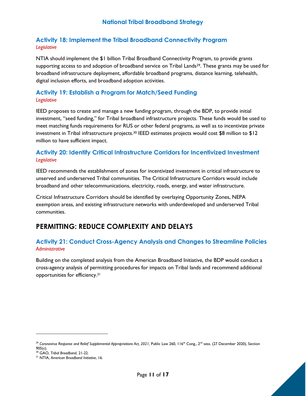# Activity 18: Implement the Tribal Broadband Connectivity Program Legislative

NTIA should implement the \$1 billion Tribal Broadband Connectivity Program, to provide grants supporting access to and adoption of broadband service on Tribal Lands<sup>29</sup>. These grants may be used for broadband infrastructure deployment, affordable broadband programs, distance learning, telehealth, digital inclusion efforts, and broadband adoption activities.

# Activity 19: Establish a Program for Match/Seed Funding **Legislative**

IEED proposes to create and manage a new funding program, through the BDP, to provide initial investment, "seed funding," for Tribal broadband infrastructure projects. These funds would be used to meet matching funds requirements for RUS or other federal programs, as well as to incentivize private investment in Tribal infrastructure projects.30 IEED estimates projects would cost \$8 million to \$12 million to have sufficient impact.

### Activity 20: Identify Critical Infrastructure Corridors for Incentivized Investment **Legislative**

IEED recommends the establishment of zones for incentivized investment in critical infrastructure to unserved and underserved Tribal communities. The Critical Infrastructure Corridors would include broadband and other telecommunications, electricity, roads, energy, and water infrastructure.

Critical Infrastructure Corridors should be identified by overlaying Opportunity Zones, NEPA exemption areas, and existing infrastructure networks with underdeveloped and underserved Tribal communities.

# PERMITTING: REDUCE COMPLEXITY AND DELAYS

# Activity 21: Conduct Cross-Agency Analysis and Changes to Streamline Policies **Administrative**

Building on the completed analysis from the American Broadband Initiative, the BDP would conduct a cross-agency analysis of permitting procedures for impacts on Tribal lands and recommend additional opportunities for efficiency.<sup>31</sup>

<sup>&</sup>lt;sup>29</sup> Coronavirus Response and Relief Supplemental Appropriations Act, 2021, Public Law 260, 116<sup>th</sup> Cong., 2<sup>nd</sup> sess. (27 December 2020), Section 905(c).

<sup>30</sup> GAO, Tribal Broadband, 21-22.

<sup>&</sup>lt;sup>31</sup> NTIA, American Broadband Initiative, 16.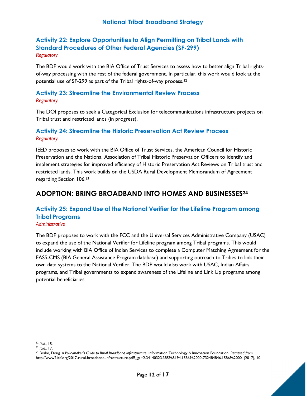# Activity 22: Explore Opportunities to Align Permitting on Tribal Lands with Standard Procedures of Other Federal Agencies (SF-299) **Regulatory**

The BDP would work with the BIA Office of Trust Services to assess how to better align Tribal rightsof-way processing with the rest of the federal government. In particular, this work would look at the potential use of SF-299 as part of the Tribal rights-of-way process.<sup>32</sup>

### Activity 23: Streamline the Environmental Review Process **Regulatory**

The DOI proposes to seek a Categorical Exclusion for telecommunications infrastructure projects on Tribal trust and restricted lands (in progress).

### Activity 24: Streamline the Historic Preservation Act Review Process **Regulatory**

IEED proposes to work with the BIA Office of Trust Services, the American Council for Historic Preservation and the National Association of Tribal Historic Preservation Officers to identify and implement strategies for improved efficiency of Historic Preservation Act Reviews on Tribal trust and restricted lands. This work builds on the USDA Rural Development Memorandum of Agreement regarding Section 106.<sup>33</sup>

# ADOPTION: BRING BROADBAND INTO HOMES AND BUSINESSES<sup>34</sup>

### Activity 25: Expand Use of the National Verifier for the Lifeline Program among Tribal Programs **Administrative**

The BDP proposes to work with the FCC and the Universal Services Administrative Company (USAC) to expand the use of the National Verifier for Lifeline program among Tribal programs. This would include working with BIA Office of Indian Services to complete a Computer Matching Agreement for the FASS-CMS (BIA General Assistance Program database) and supporting outreach to Tribes to link their own data systems to the National Verifier. The BDP would also work with USAC, Indian Affairs programs, and Tribal governments to expand awareness of the Lifeline and Link Up programs among potential beneficiaries.

<sup>32</sup> Ibid., 15.

<sup>33</sup> Ibid., 17.

<sup>&</sup>lt;sup>34</sup> Brake, Doug. A Policymaker's Guide to Rural Broadband Infrastructure. Information Technology & Innovation Foundation. Retrieved from http://www2.itif.org/2017-rural-broadband-infrastructure.pdf?\_ga=2.34140323.385965194.1586962000-732484846.1586962000. (2017), 10.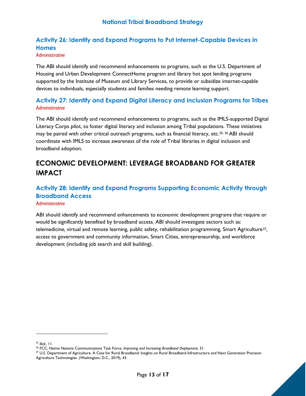# Activity 26: Identify and Expand Programs to Put Internet-Capable Devices in **Homes**

### Administrative

The ABI should identify and recommend enhancements to programs, such as the U.S. Department of Housing and Urban Development ConnectHome program and library hot spot lending programs supported by the Institute of Museum and Library Services, to provide or subsidize internet-capable devices to individuals, especially students and families needing remote learning support.

### Activity 27: Identify and Expand Digital Literacy and Inclusion Programs for Tribes Administrative

The ABI should identify and recommend enhancements to programs, such as the IMLS-supported Digital Literacy Corps pilot, to foster digital literacy and inclusion among Tribal populations. These initiatives may be paired with other critical outreach programs, such as financial literacy, etc.<sup>35, 36</sup> ABI should coordinate with IMLS to increase awareness of the role of Tribal libraries in digital inclusion and broadband adoption.

# ECONOMIC DEVELOPMENT: LEVERAGE BROADBAND FOR GREATER IMPACT

### Activity 28: Identify and Expand Programs Supporting Economic Activity through Broadband Access **Administrative**

ABI should identify and recommend enhancements to economic development programs that require or would be significantly benefited by broadband access. ABI should investigate sectors such as: telemedicine, virtual and remote learning, public safety, rehabilitation programming, Smart Agriculture37, access to government and community information, Smart Cities, entrepreneurship, and workforce development (including job search and skill building).

<sup>&</sup>lt;sup>37</sup> U.S. Department of Agriculture. A Case for Rural Broadband: Insights on Rural Broadband Infrastructure and Next Generation Precision Agriculture Technologies. (Washington, D.C., 2019), 43.



 $35$  Ibid.,  $11$ .

<sup>&</sup>lt;sup>36</sup> FCC, Native Nations Communications Task Force, Improving and Increasing Broadband Deployment, 31.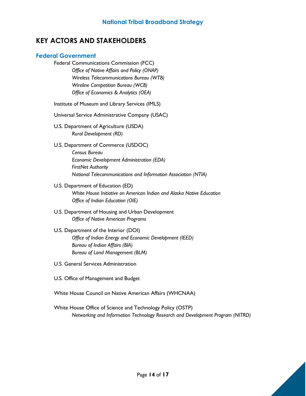# KEY ACTORS AND STAKEHOLDERS

### Federal Government

- Federal Communications Commission (FCC) Office of Native Affairs and Policy (ONAP) Wireless Telecommunications Bureau (WTB) Wireline Competition Bureau (WCB) Office of Economics & Analytics (OEA)
- Institute of Museum and Library Services (IMLS)
- Universal Service Administrative Company (USAC)
- U.S. Department of Agriculture (USDA) Rural Development (RD)
- U.S. Department of Commerce (USDOC) Census Bureau Economic Development Administration (EDA) FirstNet Authority National Telecommunications and Information Association (NTIA)
- U.S. Department of Education (ED) White House Initiative on American Indian and Alaska Native Education Office of Indian Education (OIE)
- U.S. Department of Housing and Urban Development Office of Native American Programs
- U.S. Department of the Interior (DOI) Office of Indian Energy and Economic Development (IEED) Bureau of Indian Affairs (BIA) Bureau of Land Management (BLM)
- U.S. General Services Administration
- U.S. Office of Management and Budget
- White House Council on Native American Affairs (WHCNAA)
- White House Office of Science and Technology Policy (OSTP) Networking and Information Technology Research and Development Program (NITRD)

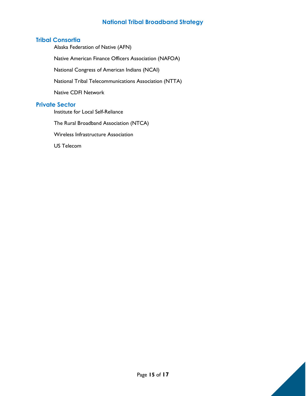# **Tribal Consortia**

Alaska Federation of Native (AFN)

Native American Finance Officers Association (NAFOA)

National Congress of American Indians (NCAI)

National Tribal Telecommunications Association (NTTA)

Native CDFI Network

### Private Sector

Institute for Local Self-Reliance

The Rural Broadband Association (NTCA)

Wireless Infrastructure Association

US Telecom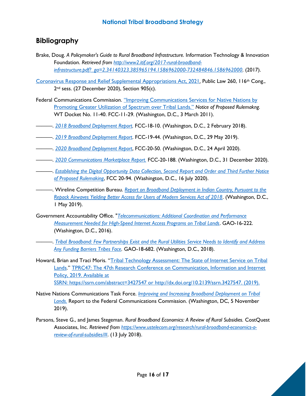# Bibliography

- Brake, Doug. A Policymaker's Guide to Rural Broadband Infrastructure. Information Technology & Innovation Foundation. Retrieved from http://www2.itif.org/2017-rural-broadbandinfrastructure.pdf?\_ga=2.34140323.385965194.1586962000-732484846.1586962000. (2017).
- Coronavirus Response and Relief Supplemental Appropriations Act, 2021, Public Law 260, 116th Cong., 2<sup>nd</sup> sess. (27 December 2020), Section 905(c).
- Federal Communications Commission. "Improving Communications Services for Native Nations by Promoting Greater Utilization of Spectrum over Tribal Lands." Notice of Proposed Rulemakng. WT Docket No. 11-40. FCC-11-29. (Washington, D.C., 3 March 2011).
- ———. 2018 Broadband Deployment Report. FCC-18-10. (Washington, D.C., 2 February 2018).
- -. 2019 Broadband Deployment Report. FCC-19-44. (Washington, D.C., 29 May 2019).
- 2020 Broadband Deployment Report, FCC-20-50. (Washington, D.C., 24 April 2020).
- ———. 2020 Communications Marketplace Report. FCC-20-188. (Washington, D.C., 31 December 2020).
- ———. Establishing the Digital Opportunity Data Collection, Second Report and Order and Third Further Notice of Proposed Rulemaking, FCC 20-94. (Washington, D.C., 16 July 2020).
- -. Wireline Competition Bureau. Report on Broadband Deployment in Indian Country, Pursuant to the Repack Airwaves Yielding Better Access for Users of Modern Services Act of 2018. (Washington, D.C., 1 May 2019).
- Government Accountability Office. "Telecommunications: Additional Coordination and Performance Measurement Needed for High-Speed Internet Access Programs on Tribal Lands. GAO-16-222. (Washington, D.C., 2016).

-. Tribal Broadband: Few Partnerships Exist and the Rural Utilities Service Needs to Identify and Address Any Funding Barriers Tribes Face. GAO-18-682. (Washington, D.C., 2018).

- Howard, Brian and Traci Moris. "Tribal Technology Assessment: The State of Internet Service on Tribal Lands." TPRC47: The 47th Research Conference on Communication, Information and Internet Policy, 2019. Available at SSRN: https://ssrn.com/abstract=3427547 or http://dx.doi.org/10.2139/ssrn.3427547. (2019).
- Native Nations Communications Task Force. Improving and Increasing Broadband Deployment on Tribal **Lands.** Report to the Federal Communications Commission. (Washington, DC, 5 November 2019).
- Parsons, Steve G., and James Stegeman. Rural Broadband Economics: A Review of Rural Subsidies. CostQuest Associates, Inc. Retrieved from https://www.ustelecom.org/research/rural-broadband-economics-areview-of-rural-subsidies/#. (13 July 2018).